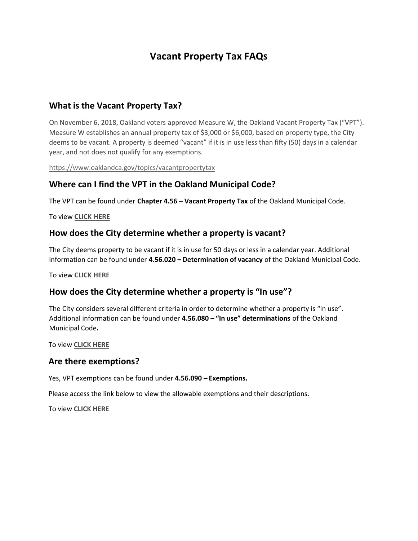# Vacant Property Tax FAQs

### What is the Vacant Property Tax?

On November 6, 2018, Oakland voters approved Measure W, the Oakland Vacant Property Tax ("VPT"). Measure W establishes an annual property tax of \$3,000 or \$6,000, based on property type, the City deems to be vacant. A property is deemed "vacant" if it is in use less than fifty (50) days in a calendar year, and not does not qualify for any exemptions.

https://www.oaklandca.gov/topics/vacantpropertytax

### Where can I find the VPT in the Oakland Municipal Code?

The VPT can be found under Chapter 4.56 – Vacant Property Tax of the Oakland Municipal Code.

#### **To view [CLICK HERE](https://library.municode.com/ca/oakland/codes/code_of_ordinances?nodeId=TIT4REFI_CH4.56VAPRTA)**

#### How does the City determine whether a property is vacant?

The City deems property to be vacant if it is in use for 50 days or less in a calendar year. Additional information can be found under 4.56.020 – Determination of vacancy of the Oakland Municipal Code.

To view **[CLICK HERE](https://library.municode.com/ca/oakland/codes/code_of_ordinances?nodeId=TIT4REFI_CH4.56VAPRTA_4.56.020DEVA)** 

### How does the City determine whether a property is "In use"?

The City considers several different criteria in order to determine whether a property is "in use". Additional information can be found under 4.56.080 - "In use" determinations of the Oakland Municipal Code.

To view **[CLICK HERE](https://library.municode.com/ca/oakland/codes/code_of_ordinances?nodeId=TIT4REFI_CH4.56VAPRTA_4.56.080USDE)** 

#### Are there exemptions?

Yes, VPT exemptions can be found under 4.56.090 – Exemptions.

Please access the link below to view the allowable exemptions and their descriptions.

To view **[CLICK HERE](https://library.municode.com/ca/oakland/codes/code_of_ordinances?nodeId=TIT4REFI_CH4.56VAPRTA_4.56.090EX)**